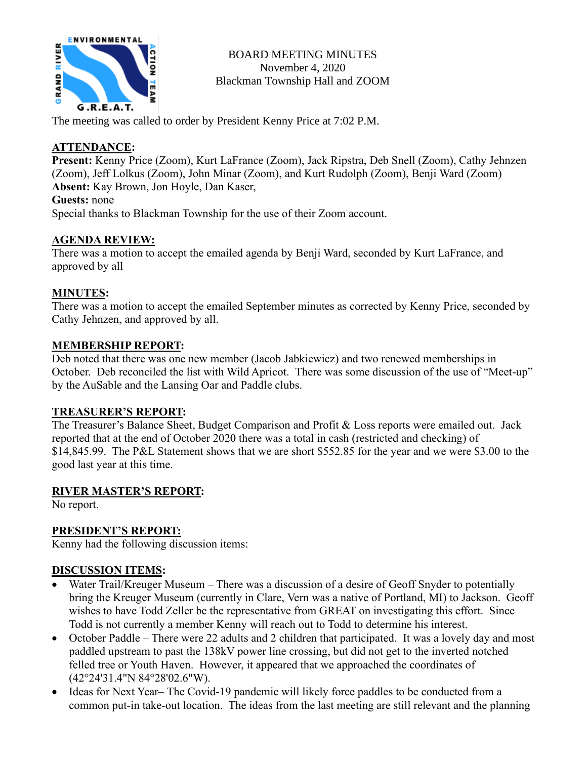

BOARD MEETING MINUTES November 4, 2020 Blackman Township Hall and ZOOM

The meeting was called to order by President Kenny Price at 7:02 P.M.

## **ATTENDANCE:**

**Present:** Kenny Price (Zoom), Kurt LaFrance (Zoom), Jack Ripstra, Deb Snell (Zoom), Cathy Jehnzen (Zoom), Jeff Lolkus (Zoom), John Minar (Zoom), and Kurt Rudolph (Zoom), Benji Ward (Zoom) **Absent:** Kay Brown, Jon Hoyle, Dan Kaser,

#### **Guests:** none

Special thanks to Blackman Township for the use of their Zoom account.

### **AGENDA REVIEW:**

There was a motion to accept the emailed agenda by Benji Ward, seconded by Kurt LaFrance, and approved by all

### **MINUTES:**

There was a motion to accept the emailed September minutes as corrected by Kenny Price, seconded by Cathy Jehnzen, and approved by all.

#### **MEMBERSHIP REPORT:**

Deb noted that there was one new member (Jacob Jabkiewicz) and two renewed memberships in October. Deb reconciled the list with Wild Apricot. There was some discussion of the use of "Meet-up" by the AuSable and the Lansing Oar and Paddle clubs.

### **TREASURER'S REPORT:**

The Treasurer's Balance Sheet, Budget Comparison and Profit & Loss reports were emailed out. Jack reported that at the end of October 2020 there was a total in cash (restricted and checking) of \$14,845.99. The P&L Statement shows that we are short \$552.85 for the year and we were \$3.00 to the good last year at this time.

#### **RIVER MASTER'S REPORT:**

No report.

## **PRESIDENT'S REPORT:**

Kenny had the following discussion items:

### **DISCUSSION ITEMS:**

- Water Trail/Kreuger Museum There was a discussion of a desire of Geoff Snyder to potentially bring the Kreuger Museum (currently in Clare, Vern was a native of Portland, MI) to Jackson. Geoff wishes to have Todd Zeller be the representative from GREAT on investigating this effort. Since Todd is not currently a member Kenny will reach out to Todd to determine his interest.
- October Paddle There were 22 adults and 2 children that participated. It was a lovely day and most paddled upstream to past the 138kV power line crossing, but did not get to the inverted notched felled tree or Youth Haven. However, it appeared that we approached the coordinates of (42°24'31.4"N 84°28'02.6"W).
- Ideas for Next Year– The Covid-19 pandemic will likely force paddles to be conducted from a common put-in take-out location. The ideas from the last meeting are still relevant and the planning